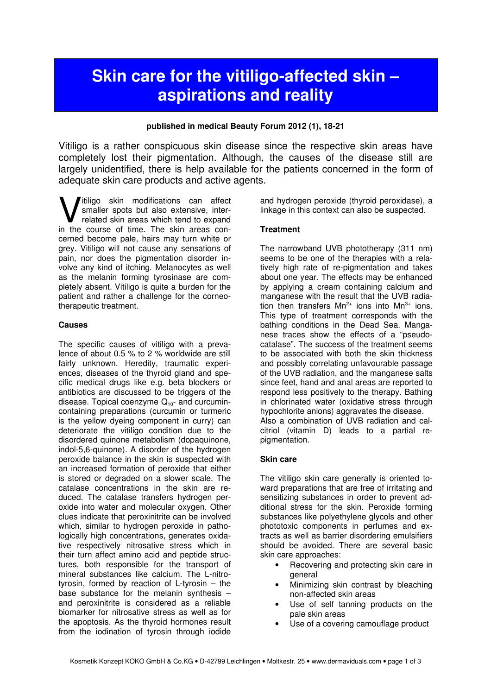# Skin care for the vitiligo-affected skin – aspirations and reality

### published in medical Beauty Forum 2012 (1), 18-21

Vitiligo is a rather conspicuous skin disease since the respective skin areas have completely lost their pigmentation. Although, the causes of the disease still are largely unidentified, there is help available for the patients concerned in the form of adequate skin care products and active agents.

itiligo skin modifications can affect smaller spots but also extensive, interrelated skin areas which tend to expand **W** itiligo skin modifications can affect smaller spots but also extensive, inter-<br>related skin areas which tend to expand<br>in the course of time. The skin areas concerned become pale, hairs may turn white or grey. Vitiligo will not cause any sensations of pain, nor does the pigmentation disorder involve any kind of itching. Melanocytes as well as the melanin forming tyrosinase are completely absent. Vitiligo is quite a burden for the patient and rather a challenge for the corneotherapeutic treatment.

### **Causes**

The specific causes of vitiligo with a prevalence of about 0.5 % to 2 % worldwide are still fairly unknown. Heredity, traumatic experiences, diseases of the thyroid gland and specific medical drugs like e.g. beta blockers or antibiotics are discussed to be triggers of the disease. Topical coenzyme  $Q_{10}$ - and curcumincontaining preparations (curcumin or turmeric is the yellow dyeing component in curry) can deteriorate the vitiligo condition due to the disordered quinone metabolism (dopaquinone, indol-5,6-quinone). A disorder of the hydrogen peroxide balance in the skin is suspected with an increased formation of peroxide that either is stored or degraded on a slower scale. The catalase concentrations in the skin are reduced. The catalase transfers hydrogen peroxide into water and molecular oxygen. Other clues indicate that peroxinitrite can be involved which, similar to hydrogen peroxide in pathologically high concentrations, generates oxidative respectively nitrosative stress which in their turn affect amino acid and peptide structures, both responsible for the transport of mineral substances like calcium. The L-nitrotyrosin, formed by reaction of L-tyrosin – the base substance for the melanin synthesis – and peroxinitrite is considered as a reliable biomarker for nitrosative stress as well as for the apoptosis. As the thyroid hormones result from the iodination of tyrosin through iodide

and hydrogen peroxide (thyroid peroxidase), a linkage in this context can also be suspected.

## **Treatment**

The narrowband UVB phototherapy (311 nm) seems to be one of the therapies with a relatively high rate of re-pigmentation and takes about one year. The effects may be enhanced by applying a cream containing calcium and manganese with the result that the UVB radiation then transfers  $Mn^{2+}$  ions into  $Mn^{3+}$  ions. This type of treatment corresponds with the bathing conditions in the Dead Sea. Manganese traces show the effects of a "pseudocatalase". The success of the treatment seems to be associated with both the skin thickness and possibly correlating unfavourable passage of the UVB radiation, and the manganese salts since feet, hand and anal areas are reported to respond less positively to the therapy. Bathing in chlorinated water (oxidative stress through hypochlorite anions) aggravates the disease. Also a combination of UVB radiation and calcitriol (vitamin D) leads to a partial repigmentation.

## Skin care

The vitiligo skin care generally is oriented toward preparations that are free of irritating and sensitizing substances in order to prevent additional stress for the skin. Peroxide forming substances like polyethylene glycols and other phototoxic components in perfumes and extracts as well as barrier disordering emulsifiers should be avoided. There are several basic skin care approaches:

- Recovering and protecting skin care in general
- Minimizing skin contrast by bleaching non-affected skin areas
- Use of self tanning products on the pale skin areas
- Use of a covering camouflage product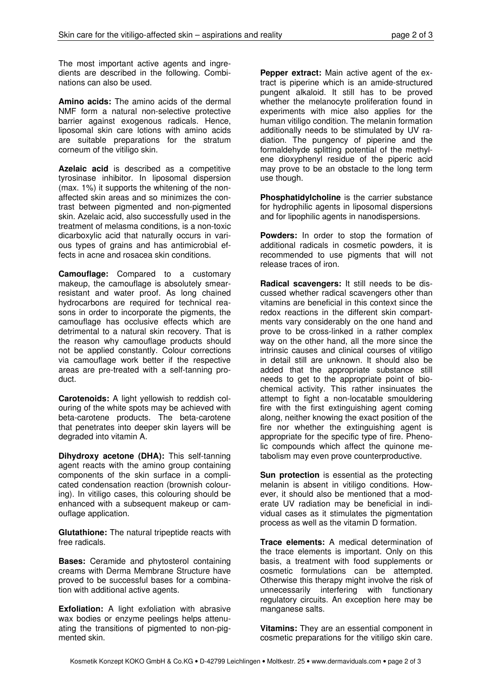The most important active agents and ingredients are described in the following. Combinations can also be used.

Amino acids: The amino acids of the dermal NMF form a natural non-selective protective barrier against exogenous radicals. Hence, liposomal skin care lotions with amino acids are suitable preparations for the stratum corneum of the vitiligo skin.

Azelaic acid is described as a competitive tyrosinase inhibitor. In liposomal dispersion (max. 1%) it supports the whitening of the nonaffected skin areas and so minimizes the contrast between pigmented and non-pigmented skin. Azelaic acid, also successfully used in the treatment of melasma conditions, is a non-toxic dicarboxylic acid that naturally occurs in various types of grains and has antimicrobial effects in acne and rosacea skin conditions.

Camouflage: Compared to a customary makeup, the camouflage is absolutely smearresistant and water proof. As long chained hydrocarbons are required for technical reasons in order to incorporate the pigments, the camouflage has occlusive effects which are detrimental to a natural skin recovery. That is the reason why camouflage products should not be applied constantly. Colour corrections via camouflage work better if the respective areas are pre-treated with a self-tanning product.

Carotenoids: A light yellowish to reddish colouring of the white spots may be achieved with beta-carotene products. The beta-carotene that penetrates into deeper skin layers will be degraded into vitamin A.

Dihydroxy acetone (DHA): This self-tanning agent reacts with the amino group containing components of the skin surface in a complicated condensation reaction (brownish colouring). In vitiligo cases, this colouring should be enhanced with a subsequent makeup or camouflage application.

Glutathione: The natural tripeptide reacts with free radicals.

Bases: Ceramide and phytosterol containing creams with Derma Membrane Structure have proved to be successful bases for a combination with additional active agents.

Exfoliation: A light exfoliation with abrasive wax bodies or enzyme peelings helps attenuating the transitions of pigmented to non-pigmented skin.

Pepper extract: Main active agent of the extract is piperine which is an amide-structured pungent alkaloid. It still has to be proved whether the melanocyte proliferation found in experiments with mice also applies for the human vitiligo condition. The melanin formation additionally needs to be stimulated by UV radiation. The pungency of piperine and the formaldehyde splitting potential of the methylene dioxyphenyl residue of the piperic acid may prove to be an obstacle to the long term use though.

Phosphatidylcholine is the carrier substance for hydrophilic agents in liposomal dispersions and for lipophilic agents in nanodispersions.

Powders: In order to stop the formation of additional radicals in cosmetic powders, it is recommended to use pigments that will not release traces of iron.

Radical scavengers: It still needs to be discussed whether radical scavengers other than vitamins are beneficial in this context since the redox reactions in the different skin compartments vary considerably on the one hand and prove to be cross-linked in a rather complex way on the other hand, all the more since the intrinsic causes and clinical courses of vitiligo in detail still are unknown. It should also be added that the appropriate substance still needs to get to the appropriate point of biochemical activity. This rather insinuates the attempt to fight a non-locatable smouldering fire with the first extinguishing agent coming along, neither knowing the exact position of the fire nor whether the extinguishing agent is appropriate for the specific type of fire. Phenolic compounds which affect the quinone metabolism may even prove counterproductive.

Sun protection is essential as the protecting melanin is absent in vitiligo conditions. However, it should also be mentioned that a moderate UV radiation may be beneficial in individual cases as it stimulates the pigmentation process as well as the vitamin D formation.

Trace elements: A medical determination of the trace elements is important. Only on this basis, a treatment with food supplements or cosmetic formulations can be attempted. Otherwise this therapy might involve the risk of unnecessarily interfering with functionary regulatory circuits. An exception here may be manganese salts.

Vitamins: They are an essential component in cosmetic preparations for the vitiligo skin care.